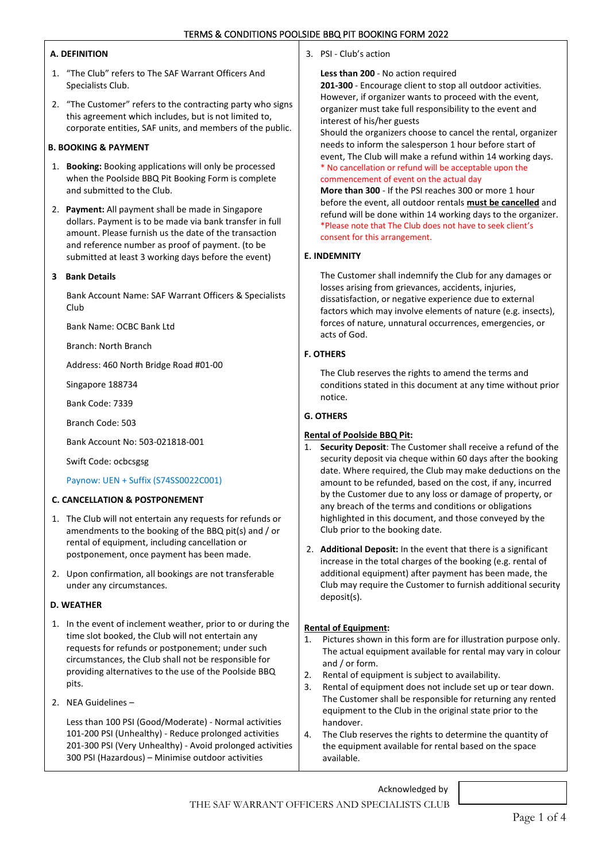### **A. DEFINITION**

- 1. "The Club" refers to The SAF Warrant Officers And Specialists Club.
- 2. "The Customer" refers to the contracting party who signs this agreement which includes, but is not limited to, corporate entities, SAF units, and members of the public.

# **B. BOOKING & PAYMENT**

- 1. **Booking:** Booking applications will only be processed when the Poolside BBQ Pit Booking Form is complete and submitted to the Club.
- 2. **Payment:** All payment shall be made in Singapore dollars. Payment is to be made via bank transfer in full amount. Please furnish us the date of the transaction and reference number as proof of payment. (to be submitted at least 3 working days before the event)

## **3 Bank Details**

Bank Account Name: SAF Warrant Officers & Specialists Club

Bank Name: OCBC Bank Ltd

Branch: North Branch

Address: 460 North Bridge Road #01-00

Singapore 188734

Bank Code: 7339

Branch Code: 503

Bank Account No: 503-021818-001

Swift Code: ocbcsgsg

Paynow: UEN + Suffix (S74SS0022C001)

### **C. CANCELLATION & POSTPONEMENT**

- 1. The Club will not entertain any requests for refunds or amendments to the booking of the BBQ pit(s) and / or rental of equipment, including cancellation or postponement, once payment has been made.
- 2. Upon confirmation, all bookings are not transferable under any circumstances.

#### **D. WEATHER**

- 1. In the event of inclement weather, prior to or during the time slot booked, the Club will not entertain any requests for refunds or postponement; under such circumstances, the Club shall not be responsible for providing alternatives to the use of the Poolside BBQ pits.
- 2. NEA Guidelines –

Less than 100 PSI (Good/Moderate) - Normal activities 101-200 PSI (Unhealthy) - Reduce prolonged activities 201-300 PSI (Very Unhealthy) - Avoid prolonged activities 300 PSI (Hazardous) – Minimise outdoor activities

3. PSI - Club's action

#### **Less than 200** - No action required

**201-300** - Encourage client to stop all outdoor activities. However, if organizer wants to proceed with the event, organizer must take full responsibility to the event and interest of his/her guests

Should the organizers choose to cancel the rental, organizer needs to inform the salesperson 1 hour before start of event, The Club will make a refund within 14 working days. \* No cancellation or refund will be acceptable upon the commencement of event on the actual day

**More than 300** - If the PSI reaches 300 or more 1 hour before the event, all outdoor rentals **must be cancelled** and refund will be done within 14 working days to the organizer. \*Please note that The Club does not have to seek client's consent for this arrangement.

#### **E. INDEMNITY**

The Customer shall indemnify the Club for any damages or losses arising from grievances, accidents, injuries, dissatisfaction, or negative experience due to external factors which may involve elements of nature (e.g. insects), forces of nature, unnatural occurrences, emergencies, or acts of God.

## **F. OTHERS**

The Club reserves the rights to amend the terms and conditions stated in this document at any time without prior notice.

## **G. OTHERS**

# **Rental of Poolside BBQ Pit:**

- 1. **Security Deposit**: The Customer shall receive a refund of the security deposit via cheque within 60 days after the booking date. Where required, the Club may make deductions on the amount to be refunded, based on the cost, if any, incurred by the Customer due to any loss or damage of property, or any breach of the terms and conditions or obligations highlighted in this document, and those conveyed by the Club prior to the booking date.
- 2. **Additional Deposit:** In the event that there is a significant increase in the total charges of the booking (e.g. rental of additional equipment) after payment has been made, the Club may require the Customer to furnish additional security deposit(s).

# **Rental of Equipment:**

- 1. Pictures shown in this form are for illustration purpose only. The actual equipment available for rental may vary in colour and / or form.
- 2. Rental of equipment is subject to availability.
- 3. Rental of equipment does not include set up or tear down. The Customer shall be responsible for returning any rented equipment to the Club in the original state prior to the handover.
- 4. The Club reserves the rights to determine the quantity of the equipment available for rental based on the space available.

Acknowledged by

THE SAF WARRANT OFFICERS AND SPECIALISTS CLUB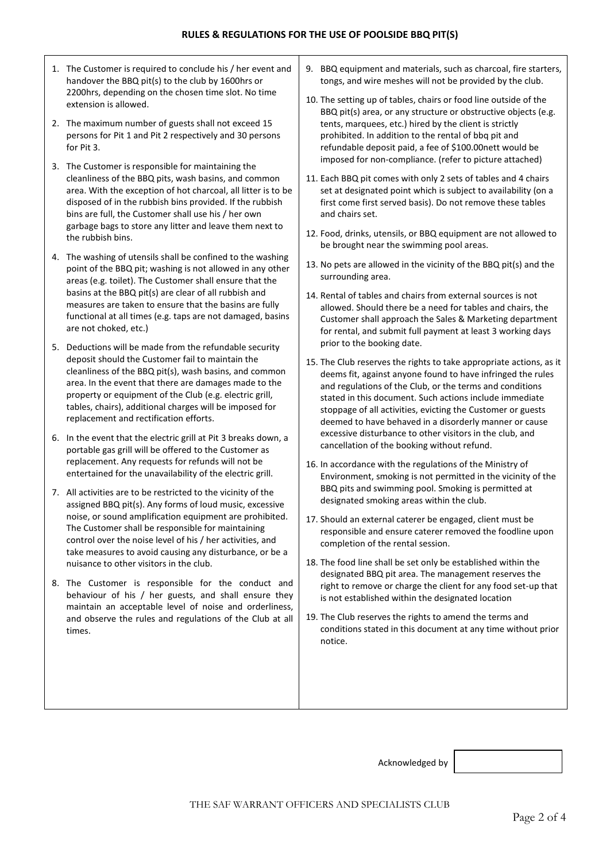- 1. The Customer is required to conclude his / her event and handover the BBQ pit(s) to the club by 1600hrs or 2200hrs, depending on the chosen time slot. No time extension is allowed.
- 2. The maximum number of guests shall not exceed 15 persons for Pit 1 and Pit 2 respectively and 30 persons for Pit 3.
- 3. The Customer is responsible for maintaining the cleanliness of the BBQ pits, wash basins, and common area. With the exception of hot charcoal, all litter is to be disposed of in the rubbish bins provided. If the rubbish bins are full, the Customer shall use his / her own garbage bags to store any litter and leave them next to the rubbish bins.
- 4. The washing of utensils shall be confined to the washing point of the BBQ pit; washing is not allowed in any other areas (e.g. toilet). The Customer shall ensure that the basins at the BBQ pit(s) are clear of all rubbish and measures are taken to ensure that the basins are fully functional at all times (e.g. taps are not damaged, basins are not choked, etc.)
- 5. Deductions will be made from the refundable security deposit should the Customer fail to maintain the cleanliness of the BBQ pit(s), wash basins, and common area. In the event that there are damages made to the property or equipment of the Club (e.g. electric grill, tables, chairs), additional charges will be imposed for replacement and rectification efforts.
- 6. In the event that the electric grill at Pit 3 breaks down, a portable gas grill will be offered to the Customer as replacement. Any requests for refunds will not be entertained for the unavailability of the electric grill.
- 7. All activities are to be restricted to the vicinity of the assigned BBQ pit(s). Any forms of loud music, excessive noise, or sound amplification equipment are prohibited. The Customer shall be responsible for maintaining control over the noise level of his / her activities, and take measures to avoid causing any disturbance, or be a nuisance to other visitors in the club.
- 8. The Customer is responsible for the conduct and behaviour of his / her guests, and shall ensure they maintain an acceptable level of noise and orderliness, and observe the rules and regulations of the Club at all times.
- 9. BBQ equipment and materials, such as charcoal, fire starters, tongs, and wire meshes will not be provided by the club.
- 10. The setting up of tables, chairs or food line outside of the BBQ pit(s) area, or any structure or obstructive objects (e.g. tents, marquees, etc.) hired by the client is strictly prohibited. In addition to the rental of bbq pit and refundable deposit paid, a fee of \$100.00nett would be imposed for non-compliance. (refer to picture attached)
- 11. Each BBQ pit comes with only 2 sets of tables and 4 chairs set at designated point which is subject to availability (on a first come first served basis). Do not remove these tables and chairs set.
- 12. Food, drinks, utensils, or BBQ equipment are not allowed to be brought near the swimming pool areas.
- 13. No pets are allowed in the vicinity of the BBQ pit(s) and the surrounding area.
- 14. Rental of tables and chairs from external sources is not allowed. Should there be a need for tables and chairs, the Customer shall approach the Sales & Marketing department for rental, and submit full payment at least 3 working days prior to the booking date.
- 15. The Club reserves the rights to take appropriate actions, as it deems fit, against anyone found to have infringed the rules and regulations of the Club, or the terms and conditions stated in this document. Such actions include immediate stoppage of all activities, evicting the Customer or guests deemed to have behaved in a disorderly manner or cause excessive disturbance to other visitors in the club, and cancellation of the booking without refund.
- 16. In accordance with the regulations of the Ministry of Environment, smoking is not permitted in the vicinity of the BBQ pits and swimming pool. Smoking is permitted at designated smoking areas within the club.
- 17. Should an external caterer be engaged, client must be responsible and ensure caterer removed the foodline upon completion of the rental session.
- 18. The food line shall be set only be established within the designated BBQ pit area. The management reserves the right to remove or charge the client for any food set-up that is not established within the designated location
- 19. The Club reserves the rights to amend the terms and conditions stated in this document at any time without prior notice.

Acknowledged by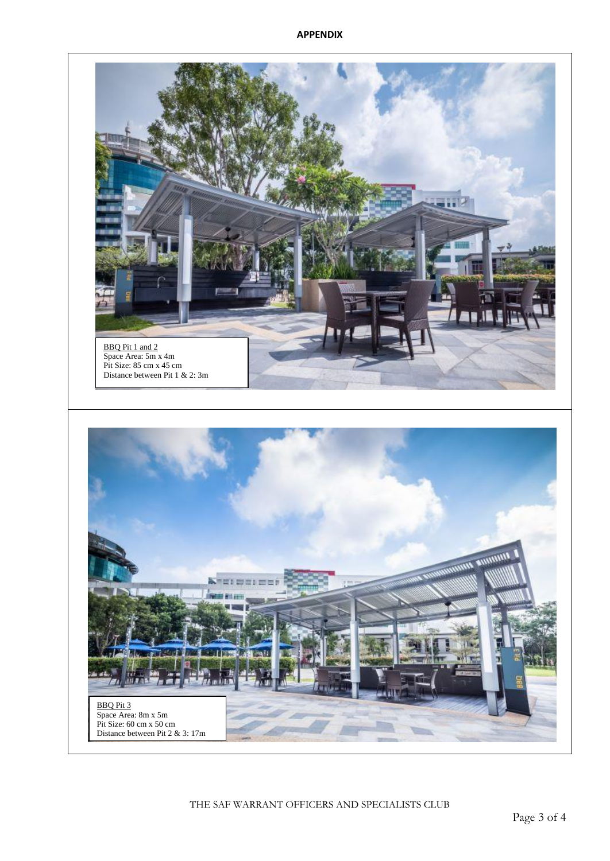

THE SAF WARRANT OFFICERS AND SPECIALISTS CLUB